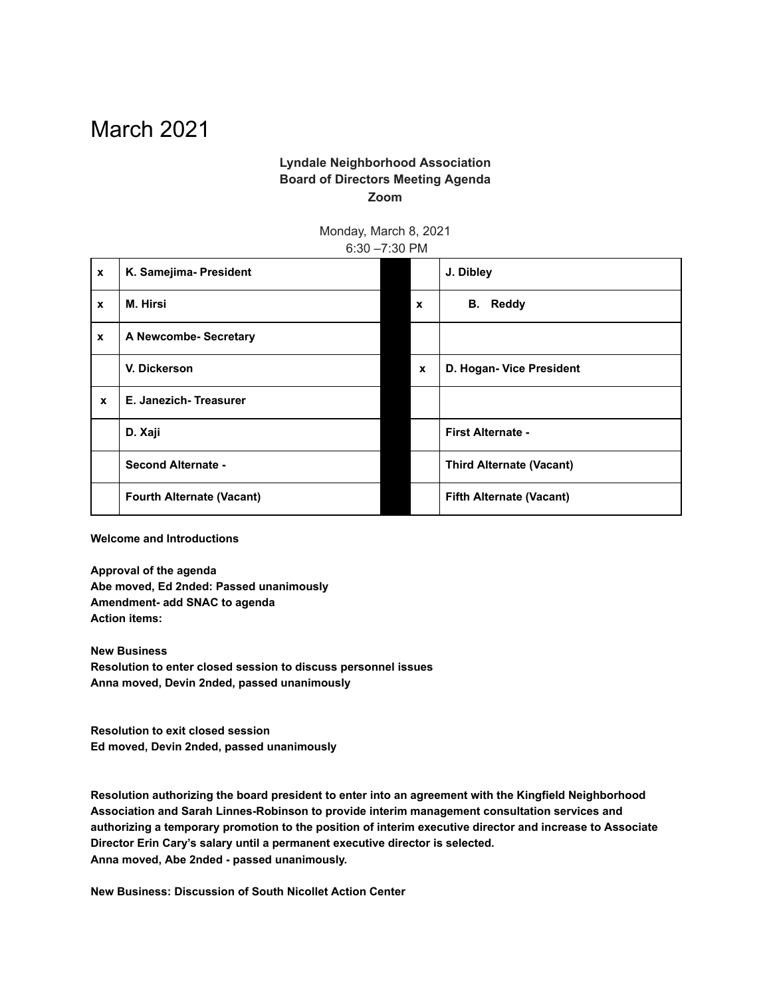## March 2021

## **Lyndale Neighborhood Association Board of Directors Meeting Agenda Zoom**

Monday, March 8, 2021 6:30 –7:30 PM

| $\mathbf{x}$ | K. Samejima- President           |              | J. Dibley                       |
|--------------|----------------------------------|--------------|---------------------------------|
| $\mathbf{x}$ | M. Hirsi                         | $\mathbf{x}$ | <b>B.</b> Reddy                 |
| $\mathbf x$  | A Newcombe- Secretary            |              |                                 |
|              | V. Dickerson                     | $\mathbf{x}$ | D. Hogan- Vice President        |
| $\mathbf{x}$ | E. Janezich-Treasurer            |              |                                 |
|              | D. Xaji                          |              | First Alternate -               |
|              | <b>Second Alternate -</b>        |              | <b>Third Alternate (Vacant)</b> |
|              | <b>Fourth Alternate (Vacant)</b> |              | <b>Fifth Alternate (Vacant)</b> |

**Welcome and Introductions**

**Approval of the agenda Abe moved, Ed 2nded: Passed unanimously Amendment- add SNAC to agenda Action items:**

**New Business Resolution to enter closed session to discuss personnel issues Anna moved, Devin 2nded, passed unanimously**

**Resolution to exit closed session Ed moved, Devin 2nded, passed unanimously**

**Resolution authorizing the board president to enter into an agreement with the Kingfield Neighborhood Association and Sarah Linnes-Robinson to provide interim management consultation services and authorizing a temporary promotion to the position of interim executive director and increase to Associate Director Erin Cary's salary until a permanent executive director is selected. Anna moved, Abe 2nded - passed unanimously.**

**New Business: Discussion of South Nicollet Action Center**